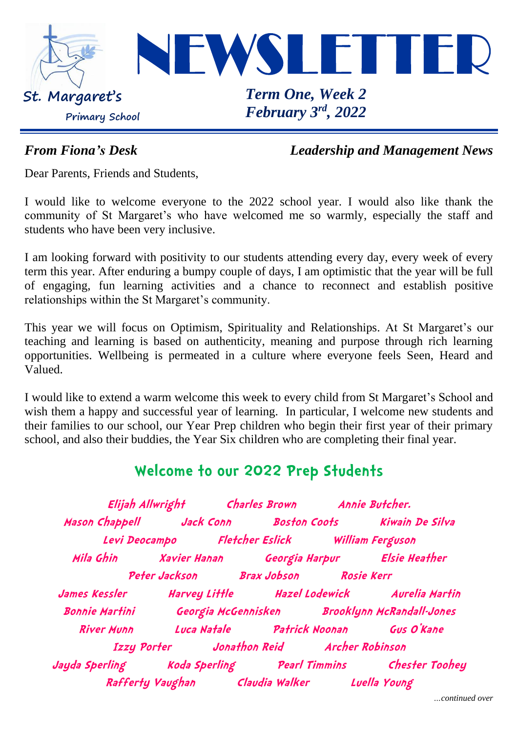

*From Fiona's Desk Leadership and Management News*

Dear Parents, Friends and Students,

I would like to welcome everyone to the 2022 school year. I would also like thank the community of St Margaret's who have welcomed me so warmly, especially the staff and students who have been very inclusive.

I am looking forward with positivity to our students attending every day, every week of every term this year. After enduring a bumpy couple of days, I am optimistic that the year will be full of engaging, fun learning activities and a chance to reconnect and establish positive relationships within the St Margaret's community.

This year we will focus on Optimism, Spirituality and Relationships. At St Margaret's our teaching and learning is based on authenticity, meaning and purpose through rich learning opportunities. Wellbeing is permeated in a culture where everyone feels Seen, Heard and Valued.

I would like to extend a warm welcome this week to every child from St Margaret's School and wish them a happy and successful year of learning. In particular, I welcome new students and their families to our school, our Year Prep children who begin their first year of their primary school, and also their buddies, the Year Six children who are completing their final year.

## **Welcome to our 2022 Prep Students**

**Elijah Allwright Charles Brown Annie Butcher. Mason Chappell Jack Conn Boston Coots Kiwain De Silva Levi Deocampo Fletcher Eslick William Ferguson Mila Ghin Xavier Hanan Georgia Harpur Elsie Heather Peter Jackson Brax Jobson Rosie Kerr James Kessler Harvey Little Hazel Lodewick Aurelia Martin Bonnie Martini Georgia McGennisken Brooklynn McRandall-Jones River Munn Luca Natale Patrick Noonan Gus O'Kane Izzy Porter Jonathon Reid Archer Robinson Jayda Sperling Koda Sperling Pearl Timmins Chester Toohey Rafferty Vaughan Claudia Walker Luella Young**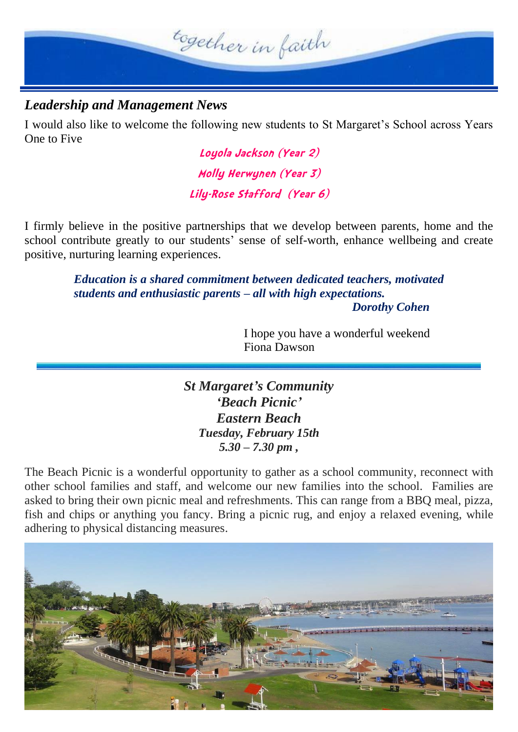

### *Leadership and Management News*

I would also like to welcome the following new students to St Margaret's School across Years One to Five

> **Loyola Jackson (Year 2) Molly Herwynen (Year 3) Lily-Rose Stafford (Year 6)**

I firmly believe in the positive partnerships that we develop between parents, home and the school contribute greatly to our students' sense of self-worth, enhance wellbeing and create positive, nurturing learning experiences.

> *Education is a shared commitment between dedicated teachers, motivated students and enthusiastic parents – all with high expectations.*

*Dorothy Cohen*

I hope you have a wonderful weekend Fiona Dawson

*St Margaret's Community 'Beach Picnic' Eastern Beach Tuesday, February 15th 5.30 – 7.30 pm ,*

The Beach Picnic is a wonderful opportunity to gather as a school community, reconnect with other school families and staff, and welcome our new families into the school. Families are asked to bring their own picnic meal and refreshments. This can range from a BBQ meal, pizza, fish and chips or anything you fancy. Bring a picnic rug, and enjoy a relaxed evening, while adhering to physical distancing measures.

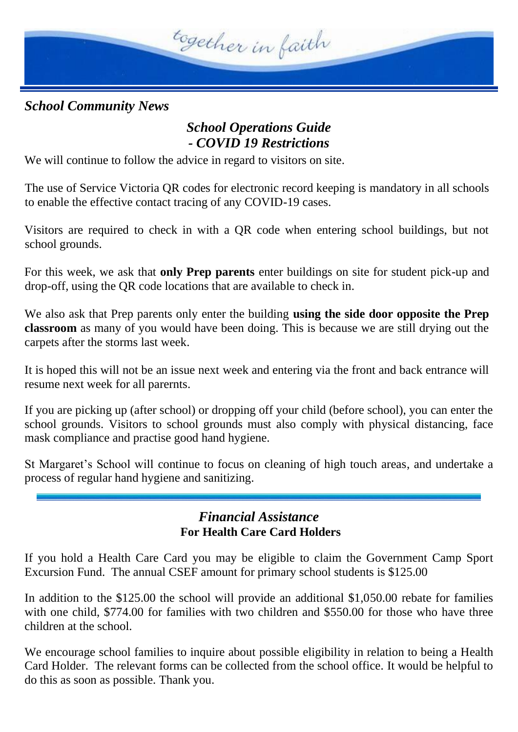

*School Community News*

### *School Operations Guide - COVID 19 Restrictions*

We will continue to follow the advice in regard to visitors on site.

The use of Service Victoria QR codes for electronic record keeping is mandatory in all schools to enable the effective contact tracing of any COVID-19 cases.

Visitors are required to check in with a QR code when entering school buildings, but not school grounds.

For this week, we ask that **only Prep parents** enter buildings on site for student pick-up and drop-off, using the QR code locations that are available to check in.

We also ask that Prep parents only enter the building **using the side door opposite the Prep classroom** as many of you would have been doing. This is because we are still drying out the carpets after the storms last week.

It is hoped this will not be an issue next week and entering via the front and back entrance will resume next week for all parernts.

If you are picking up (after school) or dropping off your child (before school), you can enter the school grounds. Visitors to school grounds must also comply with physical distancing, face mask compliance and practise good hand hygiene.

St Margaret's School will continue to focus on cleaning of high touch areas, and undertake a process of regular hand hygiene and sanitizing.

### *Financial Assistance* **For Health Care Card Holders**

If you hold a Health Care Card you may be eligible to claim the Government Camp Sport Excursion Fund. The annual CSEF amount for primary school students is \$125.00

In addition to the \$125.00 the school will provide an additional \$1,050.00 rebate for families with one child, \$774.00 for families with two children and \$550.00 for those who have three children at the school.

We encourage school families to inquire about possible eligibility in relation to being a Health Card Holder. The relevant forms can be collected from the school office. It would be helpful to do this as soon as possible. Thank you.